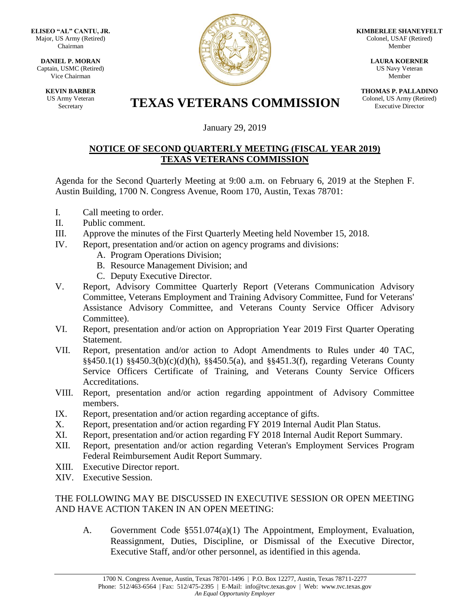**ELISEO "AL" CANTU, JR.** Major, US Army (Retired) Chairman

**DANIEL P. MORAN** Captain, USMC (Retired) Vice Chairman

> **KEVIN BARBER** US Army Veteran



**KIMBERLEE SHANEYFELT** Colonel, USAF (Retired) Member

> **LAURA KOERNER** US Navy Veteran Member

**THOMAS P. PALLADINO** Colonel, US Army (Retired) Executive Director

## **TEXAS VETERANS COMMISSION**

January 29, 2019

## **NOTICE OF SECOND QUARTERLY MEETING (FISCAL YEAR 2019) TEXAS VETERANS COMMISSION**

Agenda for the Second Quarterly Meeting at 9:00 a.m. on February 6, 2019 at the Stephen F. Austin Building, 1700 N. Congress Avenue, Room 170, Austin, Texas 78701:

- I. Call meeting to order.
- II. Public comment.
- III. Approve the minutes of the First Quarterly Meeting held November 15, 2018.
- IV. Report, presentation and/or action on agency programs and divisions:
	- A. Program Operations Division;
	- B. Resource Management Division; and
	- C. Deputy Executive Director.
- V. Report, Advisory Committee Quarterly Report (Veterans Communication Advisory Committee, Veterans Employment and Training Advisory Committee, Fund for Veterans' Assistance Advisory Committee, and Veterans County Service Officer Advisory Committee).
- VI. Report, presentation and/or action on Appropriation Year 2019 First Quarter Operating Statement.
- VII. Report, presentation and/or action to Adopt Amendments to Rules under 40 TAC, §§450.1(1) §§450.3(b)(c)(d)(h), §§450.5(a), and §§451.3(f), regarding Veterans County Service Officers Certificate of Training, and Veterans County Service Officers Accreditations.
- VIII. Report, presentation and/or action regarding appointment of Advisory Committee members.
- IX. Report, presentation and/or action regarding acceptance of gifts.
- X. Report, presentation and/or action regarding FY 2019 Internal Audit Plan Status.
- XI. Report, presentation and/or action regarding FY 2018 Internal Audit Report Summary.
- XII. Report, presentation and/or action regarding Veteran's Employment Services Program Federal Reimbursement Audit Report Summary.
- XIII. Executive Director report.
- XIV. Executive Session.

## THE FOLLOWING MAY BE DISCUSSED IN EXECUTIVE SESSION OR OPEN MEETING AND HAVE ACTION TAKEN IN AN OPEN MEETING:

A. Government Code §551.074(a)(1) The Appointment, Employment, Evaluation, Reassignment, Duties, Discipline, or Dismissal of the Executive Director, Executive Staff, and/or other personnel, as identified in this agenda.